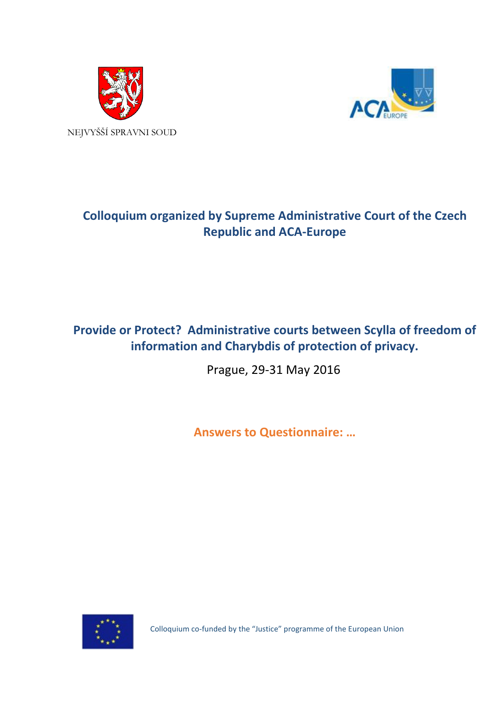



# **Colloquium organized by Supreme Administrative Court of the Czech Republic and ACA-Europe**

# **Provide or Protect? Administrative courts between Scylla of freedom of information and Charybdis of protection of privacy.**

Prague, 29-31 May 2016

**Answers to Questionnaire: …**



Colloquium co-funded by the "Justice" programme of the European Union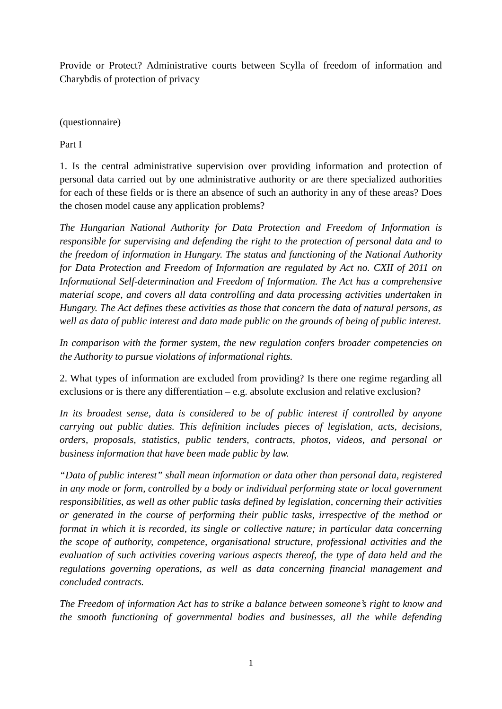Provide or Protect? Administrative courts between Scylla of freedom of information and Charybdis of protection of privacy

(questionnaire)

Part I

1. Is the central administrative supervision over providing information and protection of personal data carried out by one administrative authority or are there specialized authorities for each of these fields or is there an absence of such an authority in any of these areas? Does the chosen model cause any application problems?

*The Hungarian National Authority for Data Protection and Freedom of Information is responsible for supervising and defending the right to the protection of personal data and to the freedom of information in Hungary. The status and functioning of the National Authority for Data Protection and Freedom of Information are regulated by Act no. CXII of 2011 on Informational Self-determination and Freedom of Information. The Act has a comprehensive material scope, and covers all data controlling and data processing activities undertaken in Hungary. The Act defines these activities as those that concern the data of natural persons, as well as data of public interest and data made public on the grounds of being of public interest.*

*In comparison with the former system, the new regulation confers broader competencies on the Authority to pursue violations of informational rights.*

2. What types of information are excluded from providing? Is there one regime regarding all exclusions or is there any differentiation – e.g. absolute exclusion and relative exclusion?

*In its broadest sense, data is considered to be of public interest if controlled by anyone carrying out public duties. This definition includes pieces of legislation, acts, decisions, orders, proposals, statistics, public tenders, contracts, photos, videos, and personal or business information that have been made public by law.*

*"Data of public interest" shall mean information or data other than personal data, registered in any mode or form, controlled by a body or individual performing state or local government responsibilities, as well as other public tasks defined by legislation, concerning their activities or generated in the course of performing their public tasks, irrespective of the method or format in which it is recorded, its single or collective nature; in particular data concerning the scope of authority, competence, organisational structure, professional activities and the evaluation of such activities covering various aspects thereof, the type of data held and the regulations governing operations, as well as data concerning financial management and concluded contracts.*

*The Freedom of information Act has to strike a balance between someone's right to know and the smooth functioning of governmental bodies and businesses, all the while defending*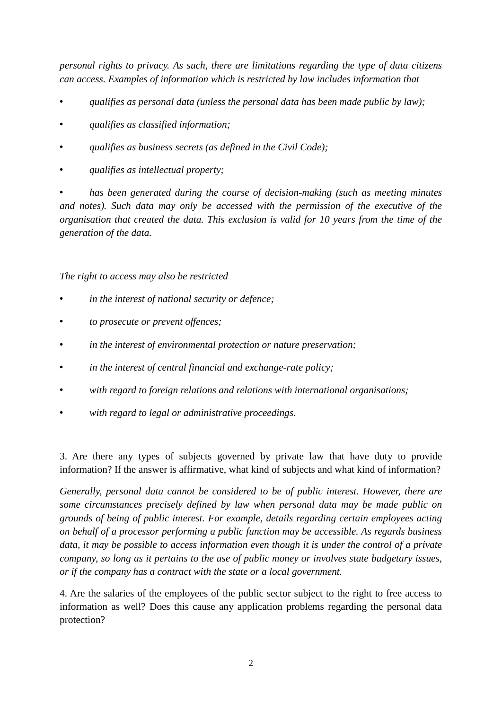*personal rights to privacy. As such, there are limitations regarding the type of data citizens can access. Examples of information which is restricted by law includes information that*

- *qualifies as personal data (unless the personal data has been made public by law);*
- *qualifies as classified information;*
- *qualifies as business secrets (as defined in the Civil Code);*
- *qualifies as intellectual property;*

• *has been generated during the course of decision-making (such as meeting minutes and notes). Such data may only be accessed with the permission of the executive of the organisation that created the data. This exclusion is valid for 10 years from the time of the generation of the data.*

*The right to access may also be restricted*

- *in the interest of national security or defence;*
- *to prosecute or prevent offences;*
- *in the interest of environmental protection or nature preservation;*
- *in the interest of central financial and exchange-rate policy;*
- *with regard to foreign relations and relations with international organisations;*
- *with regard to legal or administrative proceedings.*

3. Are there any types of subjects governed by private law that have duty to provide information? If the answer is affirmative, what kind of subjects and what kind of information?

*Generally, personal data cannot be considered to be of public interest. However, there are some circumstances precisely defined by law when personal data may be made public on grounds of being of public interest. For example, details regarding certain employees acting on behalf of a processor performing a public function may be accessible. As regards business data, it may be possible to access information even though it is under the control of a private company, so long as it pertains to the use of public money or involves state budgetary issues, or if the company has a contract with the state or a local government.*

4. Are the salaries of the employees of the public sector subject to the right to free access to information as well? Does this cause any application problems regarding the personal data protection?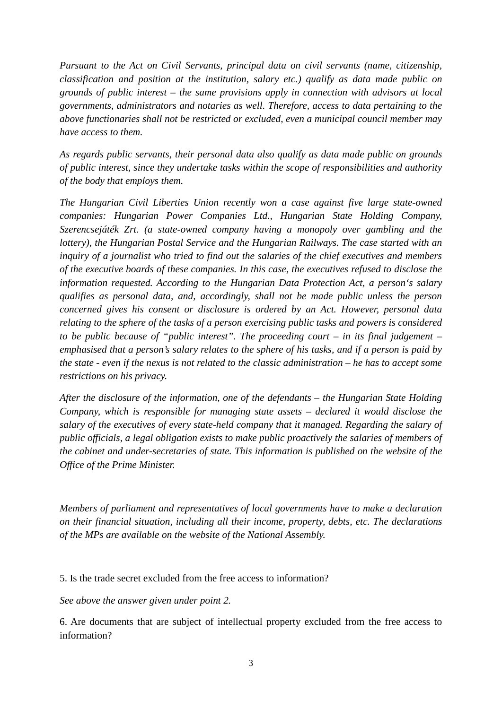*Pursuant to the Act on Civil Servants, principal data on civil servants (name, citizenship, classification and position at the institution, salary etc.) qualify as data made public on grounds of public interest – the same provisions apply in connection with advisors at local governments, administrators and notaries as well. Therefore, access to data pertaining to the above functionaries shall not be restricted or excluded, even a municipal council member may have access to them.*

*As regards public servants, their personal data also qualify as data made public on grounds of public interest, since they undertake tasks within the scope of responsibilities and authority of the body that employs them.*

*The Hungarian Civil Liberties Union recently won a case against five large state-owned companies: Hungarian Power Companies Ltd., Hungarian State Holding Company, Szerencsejáték Zrt. (a state-owned company having a monopoly over gambling and the lottery), the Hungarian Postal Service and the Hungarian Railways. The case started with an inquiry of a journalist who tried to find out the salaries of the chief executives and members of the executive boards of these companies. In this case, the executives refused to disclose the information requested. According to the Hungarian Data Protection Act, a person's salary qualifies as personal data, and, accordingly, shall not be made public unless the person concerned gives his consent or disclosure is ordered by an Act. However, personal data relating to the sphere of the tasks of a person exercising public tasks and powers is considered to be public because of "public interest". The proceeding court – in its final judgement – emphasised that a person's salary relates to the sphere of his tasks, and if a person is paid by the state - even if the nexus is not related to the classic administration – he has to accept some restrictions on his privacy.*

*After the disclosure of the information, one of the defendants – the Hungarian State Holding Company, which is responsible for managing state assets – declared it would disclose the salary of the executives of every state-held company that it managed. Regarding the salary of public officials, a legal obligation exists to make public proactively the salaries of members of the cabinet and under-secretaries of state. This information is published on the website of the Office of the Prime Minister.*

*Members of parliament and representatives of local governments have to make a declaration on their financial situation, including all their income, property, debts, etc. The declarations of the MPs are available on the website of the National Assembly.*

#### 5. Is the trade secret excluded from the free access to information?

#### *See above the answer given under point 2.*

6. Are documents that are subject of intellectual property excluded from the free access to information?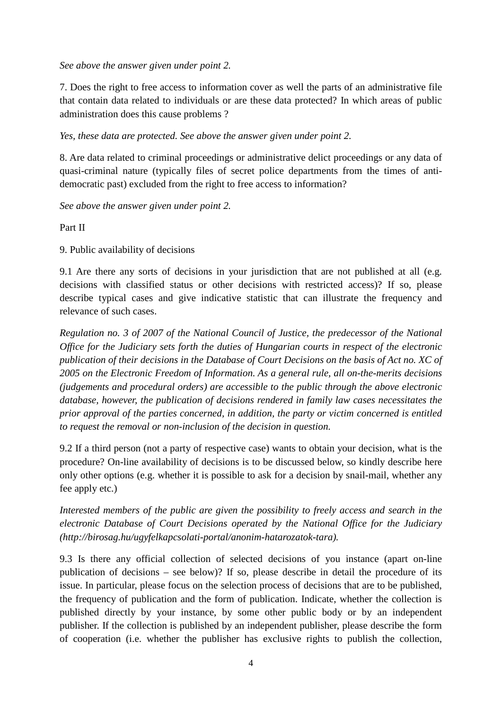#### *See above the answer given under point 2.*

7. Does the right to free access to information cover as well the parts of an administrative file that contain data related to individuals or are these data protected? In which areas of public administration does this cause problems ?

*Yes, these data are protected. See above the answer given under point 2.*

8. Are data related to criminal proceedings or administrative delict proceedings or any data of quasi-criminal nature (typically files of secret police departments from the times of antidemocratic past) excluded from the right to free access to information?

*See above the answer given under point 2.*

Part II

9. Public availability of decisions

9.1 Are there any sorts of decisions in your jurisdiction that are not published at all (e.g. decisions with classified status or other decisions with restricted access)? If so, please describe typical cases and give indicative statistic that can illustrate the frequency and relevance of such cases.

*Regulation no. 3 of 2007 of the National Council of Justice, the predecessor of the National Office for the Judiciary sets forth the duties of Hungarian courts in respect of the electronic publication of their decisions in the Database of Court Decisions on the basis of Act no. XC of 2005 on the Electronic Freedom of Information. As a general rule, all on-the-merits decisions (judgements and procedural orders) are accessible to the public through the above electronic database, however, the publication of decisions rendered in family law cases necessitates the prior approval of the parties concerned, in addition, the party or victim concerned is entitled to request the removal or non-inclusion of the decision in question.*

9.2 If a third person (not a party of respective case) wants to obtain your decision, what is the procedure? On-line availability of decisions is to be discussed below, so kindly describe here only other options (e.g. whether it is possible to ask for a decision by snail-mail, whether any fee apply etc.)

*Interested members of the public are given the possibility to freely access and search in the electronic Database of Court Decisions operated by the National Office for the Judiciary [\(http://birosag.hu/ugyfelkapcsolati-portal/anonim-hatarozatok-tara\)](http://birosag.hu/ugyfelkapcsolati-portal/anonim-hatarozatok-tara).*

9.3 Is there any official collection of selected decisions of you instance (apart on-line publication of decisions – see below)? If so, please describe in detail the procedure of its issue. In particular, please focus on the selection process of decisions that are to be published, the frequency of publication and the form of publication. Indicate, whether the collection is published directly by your instance, by some other public body or by an independent publisher. If the collection is published by an independent publisher, please describe the form of cooperation (i.e. whether the publisher has exclusive rights to publish the collection,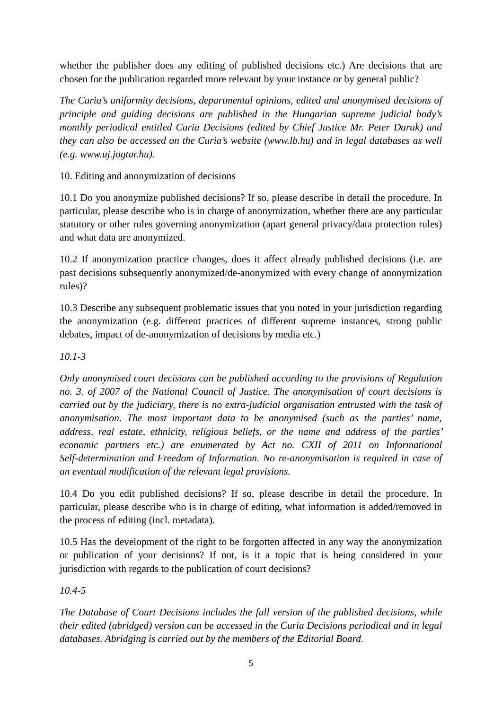whether the publisher does any editing of published decisions etc.) Are decisions that are chosen for the publication regarded more relevant by your instance or by general public?

*The Curia's uniformity decisions, departmental opinions, edited and anonymised decisions of principle and guiding decisions are published in the Hungarian supreme judicial body's monthly periodical entitled Curia Decisions (edited by Chief Justice Mr. Peter Darak) and they can also be accessed on the Curia's website (www.lb.hu) and in legal databases as well (e.g. www.uj.jogtar.hu).*

10. Editing and anonymization of decisions

10.1 Do you anonymize published decisions? If so, please describe in detail the procedure. In particular, please describe who is in charge of anonymization, whether there are any particular statutory or other rules governing anonymization (apart general privacy/data protection rules) and what data are anonymized.

10.2 If anonymization practice changes, does it affect already published decisions (i.e. are past decisions subsequently anonymized/de-anonymized with every change of anonymization rules)?

10.3 Describe any subsequent problematic issues that you noted in your jurisdiction regarding the anonymization (e.g. different practices of different supreme instances, strong public debates, impact of de-anonymization of decisions by media etc.)

## *10.1-3*

*Only anonymised court decisions can be published according to the provisions of Regulation no. 3. of 2007 of the National Council of Justice. The anonymisation of court decisions is carried out by the judiciary, there is no extra-judicial organisation entrusted with the task of anonymisation. The most important data to be anonymised (such as the parties' name, address, real estate, ethnicity, religious beliefs, or the name and address of the parties' economic partners etc.) are enumerated by Act no. CXII of 2011 on Informational Self-determination and Freedom of Information. No re-anonymisation is required in case of an eventual modification of the relevant legal provisions.*

10.4 Do you edit published decisions? If so, please describe in detail the procedure. In particular, please describe who is in charge of editing, what information is added/removed in the process of editing (incl. metadata).

10.5 Has the development of the right to be forgotten affected in any way the anonymization or publication of your decisions? If not, is it a topic that is being considered in your jurisdiction with regards to the publication of court decisions?

### *10.4-5*

*The Database of Court Decisions includes the full version of the published decisions, while their edited (abridged) version can be accessed in the Curia Decisions periodical and in legal databases. Abridging is carried out by the members of the Editorial Board.*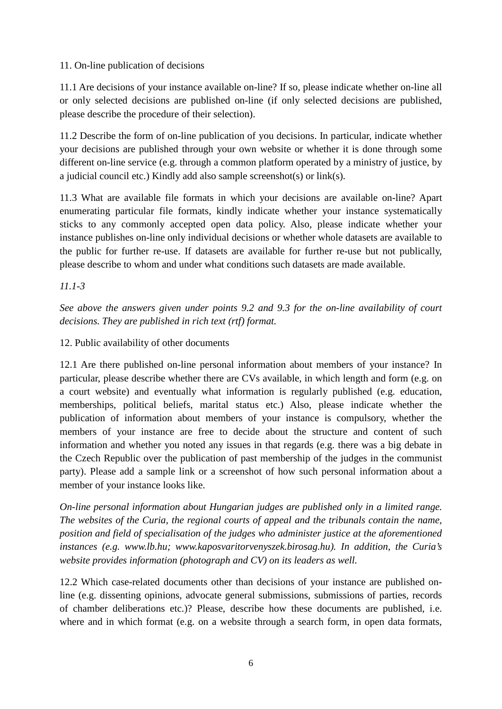#### 11. On-line publication of decisions

11.1 Are decisions of your instance available on-line? If so, please indicate whether on-line all or only selected decisions are published on-line (if only selected decisions are published, please describe the procedure of their selection).

11.2 Describe the form of on-line publication of you decisions. In particular, indicate whether your decisions are published through your own website or whether it is done through some different on-line service (e.g. through a common platform operated by a ministry of justice, by a judicial council etc.) Kindly add also sample screenshot(s) or link(s).

11.3 What are available file formats in which your decisions are available on-line? Apart enumerating particular file formats, kindly indicate whether your instance systematically sticks to any commonly accepted open data policy. Also, please indicate whether your instance publishes on-line only individual decisions or whether whole datasets are available to the public for further re-use. If datasets are available for further re-use but not publically, please describe to whom and under what conditions such datasets are made available.

*11.1-3*

*See above the answers given under points 9.2 and 9.3 for the on-line availability of court decisions. They are published in rich text (rtf) format.*

12. Public availability of other documents

12.1 Are there published on-line personal information about members of your instance? In particular, please describe whether there are CVs available, in which length and form (e.g. on a court website) and eventually what information is regularly published (e.g. education, memberships, political beliefs, marital status etc.) Also, please indicate whether the publication of information about members of your instance is compulsory, whether the members of your instance are free to decide about the structure and content of such information and whether you noted any issues in that regards (e.g. there was a big debate in the Czech Republic over the publication of past membership of the judges in the communist party). Please add a sample link or a screenshot of how such personal information about a member of your instance looks like.

*On-line personal information about Hungarian judges are published only in a limited range. The websites of the Curia, the regional courts of appeal and the tribunals contain the name, position and field of specialisation of the judges who administer justice at the aforementioned instances (e.g. www.lb.hu; www.kaposvaritorvenyszek.birosag.hu). In addition, the Curia's website provides information (photograph and CV) on its leaders as well.*

12.2 Which case-related documents other than decisions of your instance are published online (e.g. dissenting opinions, advocate general submissions, submissions of parties, records of chamber deliberations etc.)? Please, describe how these documents are published, i.e. where and in which format (e.g. on a website through a search form, in open data formats,